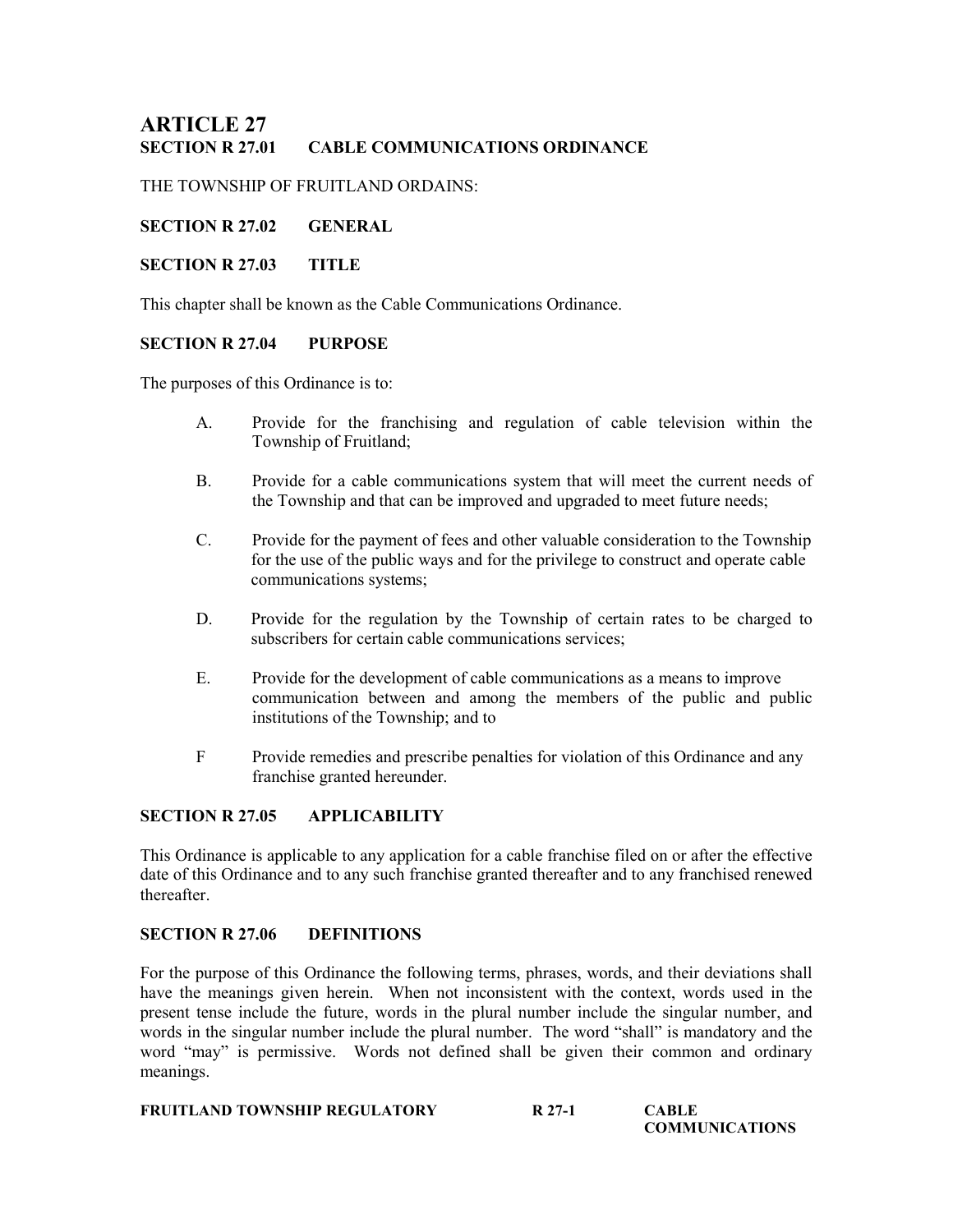# **ARTICLE 27<br>SECTION R 27.01** CABLE COMMUNICATIONS ORDINANCE

THE TOWNSHIP OF FRUITLAND ORDAINS:

## SECTION R 27.02 GENERAL

## SECTION R 27.03 TITLE

This chapter shall be known as the Cable Communications Ordinance.

## SECTION R 27.04 PURPOSE

The purposes of this Ordinance is to:

- A. Provide for the franchising and regulation of cable television within the Township of Fruitland;
- B. Provide for a cable communications system that will meet the current needs of the Township and that can be improved and upgraded to meet future needs;
- C. Provide for the payment of fees and other valuable consideration to the Township for the use of the public ways and for the privilege to construct and operate cable communications systems;
- D. Provide for the regulation by the Township of certain rates to be charged to subscribers for certain cable communications services;
- E. Provide for the development of cable communications as a means to improve communication between and among the members of the public and public institutions of the Township; and to
- F Provide remedies and prescribe penalties for violation of this Ordinance and any franchise granted hereunder.

# SECTION R 27.05 APPLICABILITY

This Ordinance is applicable to any application for a cable franchise filed on or after the effective date of this Ordinance and to any such franchise granted thereafter and to any franchised renewed thereafter.

### SECTION R 27.06 DEFINITIONS

For the purpose of this Ordinance the following terms, phrases, words, and their deviations shall have the meanings given herein. When not inconsistent with the context, words used in the present tense include the future, words in the plural number include the singular number, and words in the singular number include the plural number. The word "shall" is mandatory and the word "may" is permissive. Words not defined shall be given their common and ordinary meanings.

| <b>FRUITLAND TOWNSHIP REGULATORY</b> | R 27-1 | <b>CABLE</b> |  |
|--------------------------------------|--------|--------------|--|
|--------------------------------------|--------|--------------|--|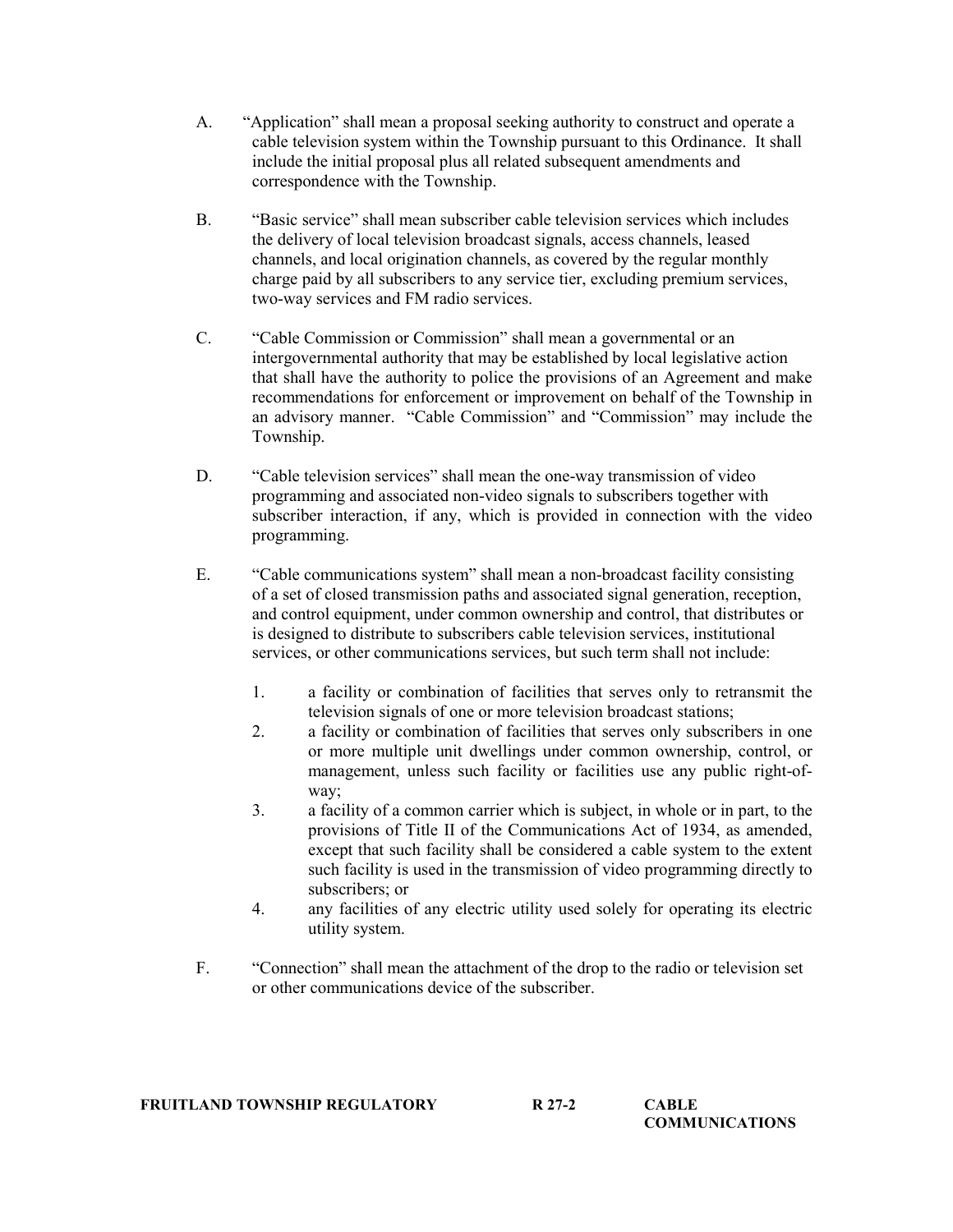- A. "Application" shall mean a proposal seeking authority to construct and operate a cable television system within the Township pursuant to this Ordinance. It shall include the initial proposal plus all related subsequent amendments and correspondence with the Township.
- B. "Basic service" shall mean subscriber cable television services which includes the delivery of local television broadcast signals, access channels, leased channels, and local origination channels, as covered by the regular monthly charge paid by all subscribers to any service tier, excluding premium services, two-way services and FM radio services.
- C. "Cable Commission or Commission" shall mean a governmental or an intergovernmental authority that may be established by local legislative action that shall have the authority to police the provisions of an Agreement and make recommendations for enforcement or improvement on behalf of the Township in an advisory manner. "Cable Commission" and "Commission" may include the Township.
- D. "Cable television services" shall mean the one-way transmission of video programming and associated non-video signals to subscribers together with subscriber interaction, if any, which is provided in connection with the video programming.
- E. "Cable communications system" shall mean a non-broadcast facility consisting of a set of closed transmission paths and associated signal generation, reception, and control equipment, under common ownership and control, that distributes or is designed to distribute to subscribers cable television services, institutional services, or other communications services, but such term shall not include:
	- 1. a facility or combination of facilities that serves only to retransmit the television signals of one or more television broadcast stations;
	- 2. a facility or combination of facilities that serves only subscribers in one or more multiple unit dwellings under common ownership, control, or management, unless such facility or facilities use any public right-ofway;
	- 3. a facility of a common carrier which is subject, in whole or in part, to the provisions of Title II of the Communications Act of 1934, as amended, except that such facility shall be considered a cable system to the extent such facility is used in the transmission of video programming directly to subscribers; or
	- 4. any facilities of any electric utility used solely for operating its electric utility system.
- F. "Connection" shall mean the attachment of the drop to the radio or television set or other communications device of the subscriber.

| <b>FRUITLAND TOWNSHIP REGULATORY</b> | R 27-2 | <b>CABLE</b>          |
|--------------------------------------|--------|-----------------------|
|                                      |        | <b>COMMUNICATIONS</b> |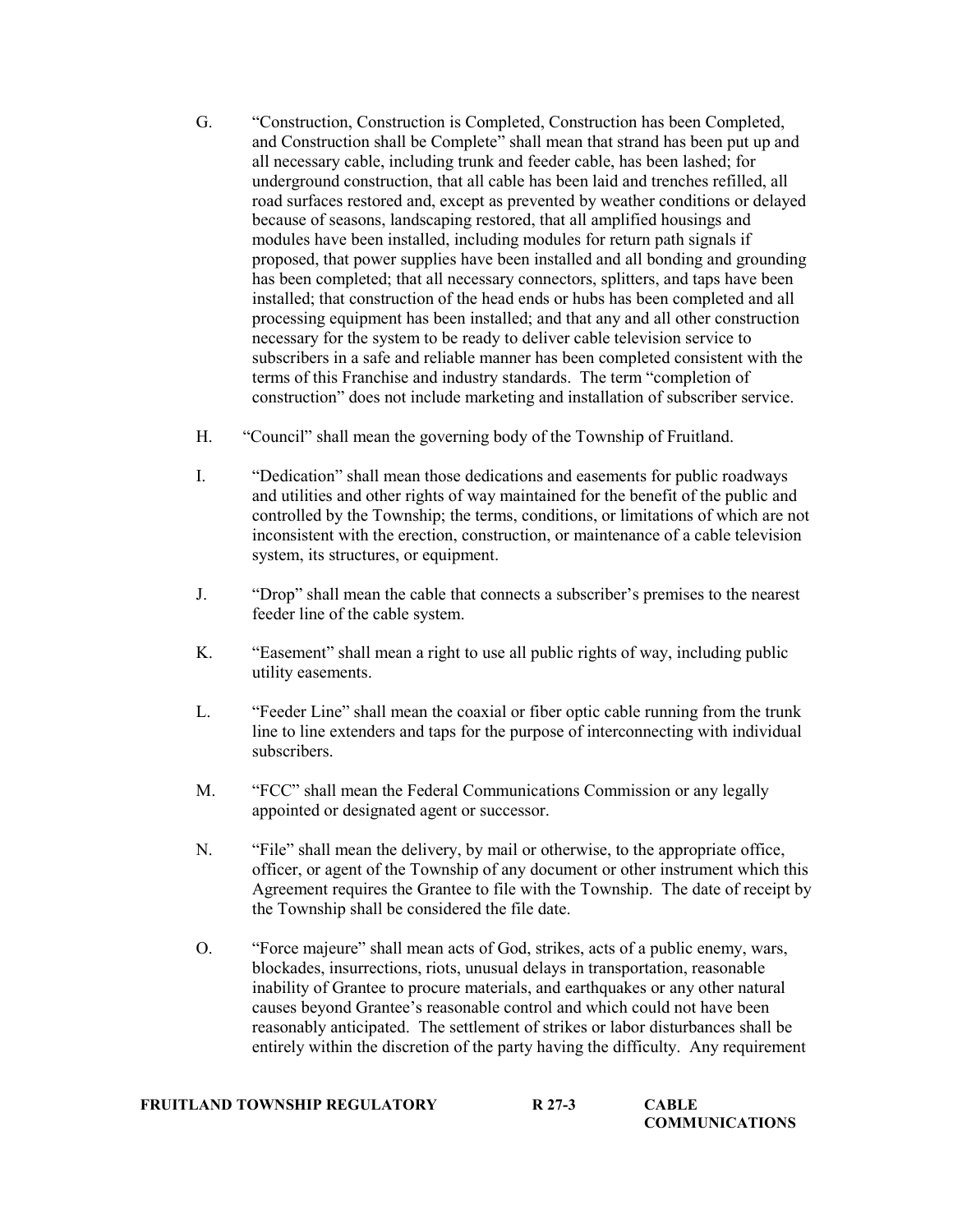- G. "Construction, Construction is Completed, Construction has been Completed, and Construction shall be Complete" shall mean that strand has been put up and all necessary cable, including trunk and feeder cable, has been lashed; for underground construction, that all cable has been laid and trenches refilled, all road surfaces restored and, except as prevented by weather conditions or delayed because of seasons, landscaping restored, that all amplified housings and modules have been installed, including modules for return path signals if proposed, that power supplies have been installed and all bonding and grounding has been completed; that all necessary connectors, splitters, and taps have been installed; that construction of the head ends or hubs has been completed and all processing equipment has been installed; and that any and all other construction necessary for the system to be ready to deliver cable television service to subscribers in a safe and reliable manner has been completed consistent with the terms of this Franchise and industry standards. The term "completion of construction" does not include marketing and installation of subscriber service.
- H. "Council" shall mean the governing body of the Township of Fruitland.
- I. "Dedication" shall mean those dedications and easements for public roadways and utilities and other rights of way maintained for the benefit of the public and controlled by the Township; the terms, conditions, or limitations of which are not inconsistent with the erection, construction, or maintenance of a cable television system, its structures, or equipment.
- J. "Drop" shall mean the cable that connects a subscriber's premises to the nearest feeder line of the cable system.
- K. "Easement" shall mean a right to use all public rights of way, including public utility easements.
- L. "Feeder Line" shall mean the coaxial or fiber optic cable running from the trunk line to line extenders and taps for the purpose of interconnecting with individual subscribers.
- M. "FCC" shall mean the Federal Communications Commission or any legally appointed or designated agent or successor.
- N. "File" shall mean the delivery, by mail or otherwise, to the appropriate office, officer, or agent of the Township of any document or other instrument which this Agreement requires the Grantee to file with the Township. The date of receipt by the Township shall be considered the file date.
- O. "Force majeure" shall mean acts of God, strikes, acts of a public enemy, wars, blockades, insurrections, riots, unusual delays in transportation, reasonable inability of Grantee to procure materials, and earthquakes or any other natural causes beyond Grantee's reasonable control and which could not have been reasonably anticipated. The settlement of strikes or labor disturbances shall be entirely within the discretion of the party having the difficulty. Any requirement

| FRUITLAND TOWNSHIP REGULATORY | R 27-3 | <b>CABLE</b>          |
|-------------------------------|--------|-----------------------|
|                               |        | <b>COMMUNICATIONS</b> |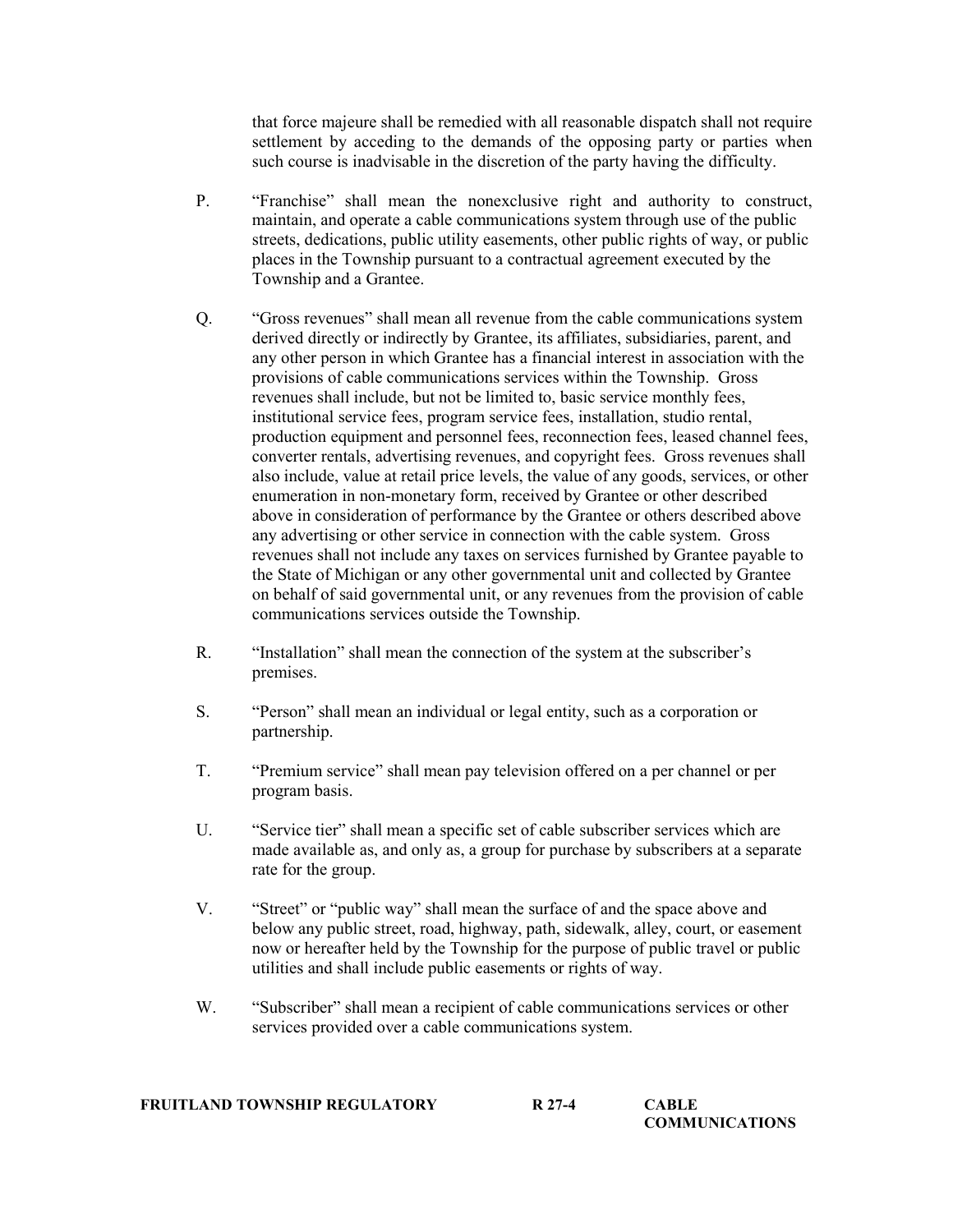that force majeure shall be remedied with all reasonable dispatch shall not require settlement by acceding to the demands of the opposing party or parties when such course is inadvisable in the discretion of the party having the difficulty.

- P. "Franchise" shall mean the nonexclusive right and authority to construct, maintain, and operate a cable communications system through use of the public streets, dedications, public utility easements, other public rights of way, or public places in the Township pursuant to a contractual agreement executed by the Township and a Grantee.
- Q. "Gross revenues" shall mean all revenue from the cable communications system derived directly or indirectly by Grantee, its affiliates, subsidiaries, parent, and any other person in which Grantee has a financial interest in association with the provisions of cable communications services within the Township. Gross revenues shall include, but not be limited to, basic service monthly fees, institutional service fees, program service fees, installation, studio rental, production equipment and personnel fees, reconnection fees, leased channel fees, converter rentals, advertising revenues, and copyright fees. Gross revenues shall also include, value at retail price levels, the value of any goods, services, or other enumeration in non-monetary form, received by Grantee or other described above in consideration of performance by the Grantee or others described above any advertising or other service in connection with the cable system. Gross revenues shall not include any taxes on services furnished by Grantee payable to the State of Michigan or any other governmental unit and collected by Grantee on behalf of said governmental unit, or any revenues from the provision of cable communications services outside the Township.
- R. "Installation" shall mean the connection of the system at the subscriber's premises.
- S. "Person" shall mean an individual or legal entity, such as a corporation or partnership.
- T. "Premium service" shall mean pay television offered on a per channel or per program basis.
- U. "Service tier" shall mean a specific set of cable subscriber services which are made available as, and only as, a group for purchase by subscribers at a separate rate for the group.
- V. "Street" or "public way" shall mean the surface of and the space above and below any public street, road, highway, path, sidewalk, alley, court, or easement now or hereafter held by the Township for the purpose of public travel or public utilities and shall include public easements or rights of way.
- W. "Subscriber" shall mean a recipient of cable communications services or other services provided over a cable communications system.

| <b>FRUITLAND TOWNSHIP REGULATORY</b> | R 27-4 | CABLE                 |
|--------------------------------------|--------|-----------------------|
|                                      |        | <b>COMMUNICATIONS</b> |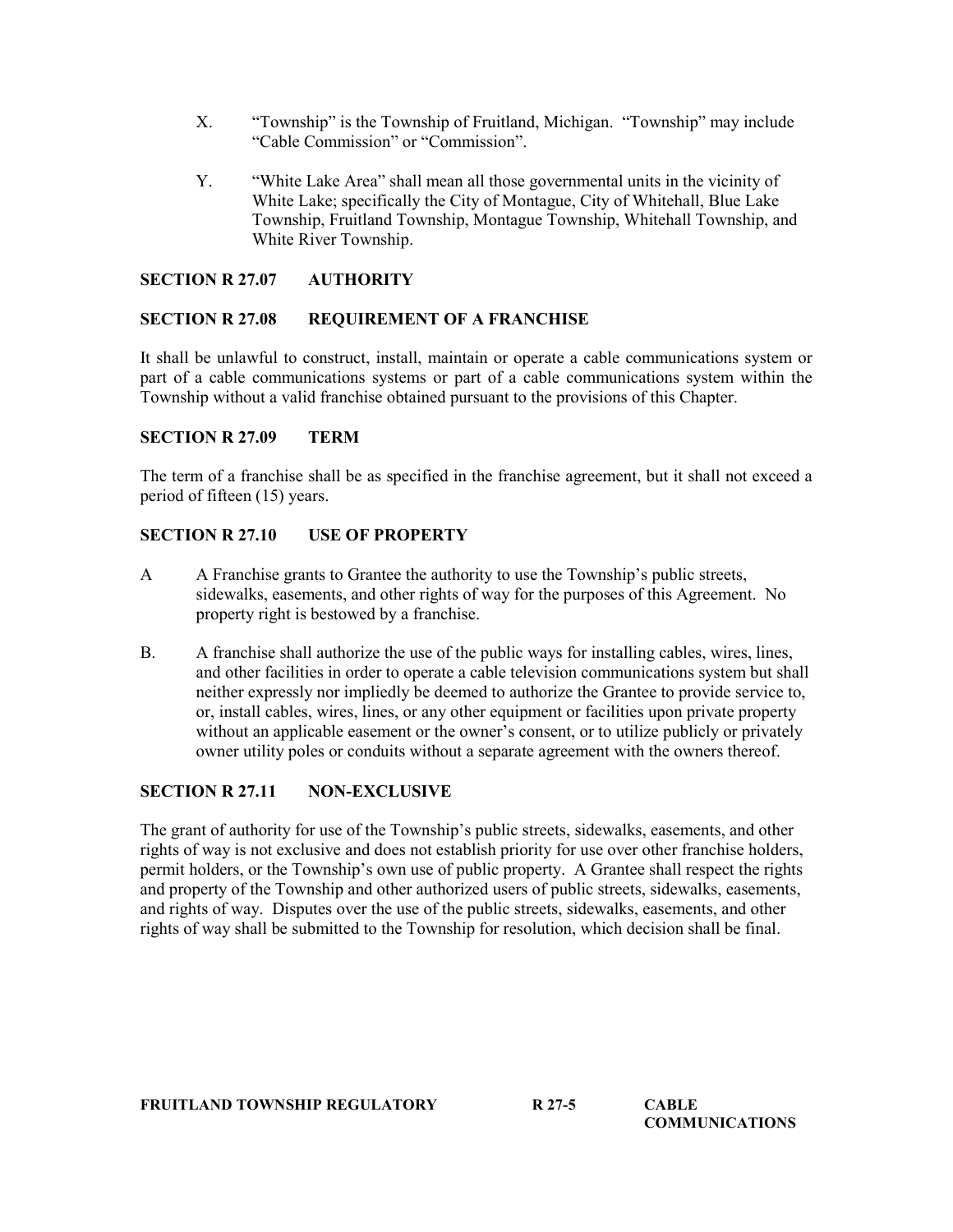- X. "Township" is the Township of Fruitland, Michigan. "Township" may include "Cable Commission" or "Commission".
- Y. "White Lake Area" shall mean all those governmental units in the vicinity of White Lake; specifically the City of Montague, City of Whitehall, Blue Lake Township, Fruitland Township, Montague Township, Whitehall Township, and White River Township.

## SECTION R 27.07 AUTHORITY

### SECTION R 27.08 REQUIREMENT OF A FRANCHISE

It shall be unlawful to construct, install, maintain or operate a cable communications system or part of a cable communications systems or part of a cable communications system within the Township without a valid franchise obtained pursuant to the provisions of this Chapter.

### SECTION R 27.09 TERM

The term of a franchise shall be as specified in the franchise agreement, but it shall not exceed a period of fifteen (15) years.

# SECTION R 27.10 USE OF PROPERTY

- A A Franchise grants to Grantee the authority to use the Township's public streets, sidewalks, easements, and other rights of way for the purposes of this Agreement. No property right is bestowed by a franchise.
- B. A franchise shall authorize the use of the public ways for installing cables, wires, lines, and other facilities in order to operate a cable television communications system but shall neither expressly nor impliedly be deemed to authorize the Grantee to provide service to, or, install cables, wires, lines, or any other equipment or facilities upon private property without an applicable easement or the owner's consent, or to utilize publicly or privately owner utility poles or conduits without a separate agreement with the owners thereof.

# SECTION R 27.11 NON-EXCLUSIVE

The grant of authority for use of the Township's public streets, sidewalks, easements, and other rights of way is not exclusive and does not establish priority for use over other franchise holders, permit holders, or the Township's own use of public property. A Grantee shall respect the rights and property of the Township and other authorized users of public streets, sidewalks, easements, and rights of way. Disputes over the use of the public streets, sidewalks, easements, and other rights of way shall be submitted to the Township for resolution, which decision shall be final.

FRUITLAND TOWNSHIP REGULATORY R 27-5 CABLE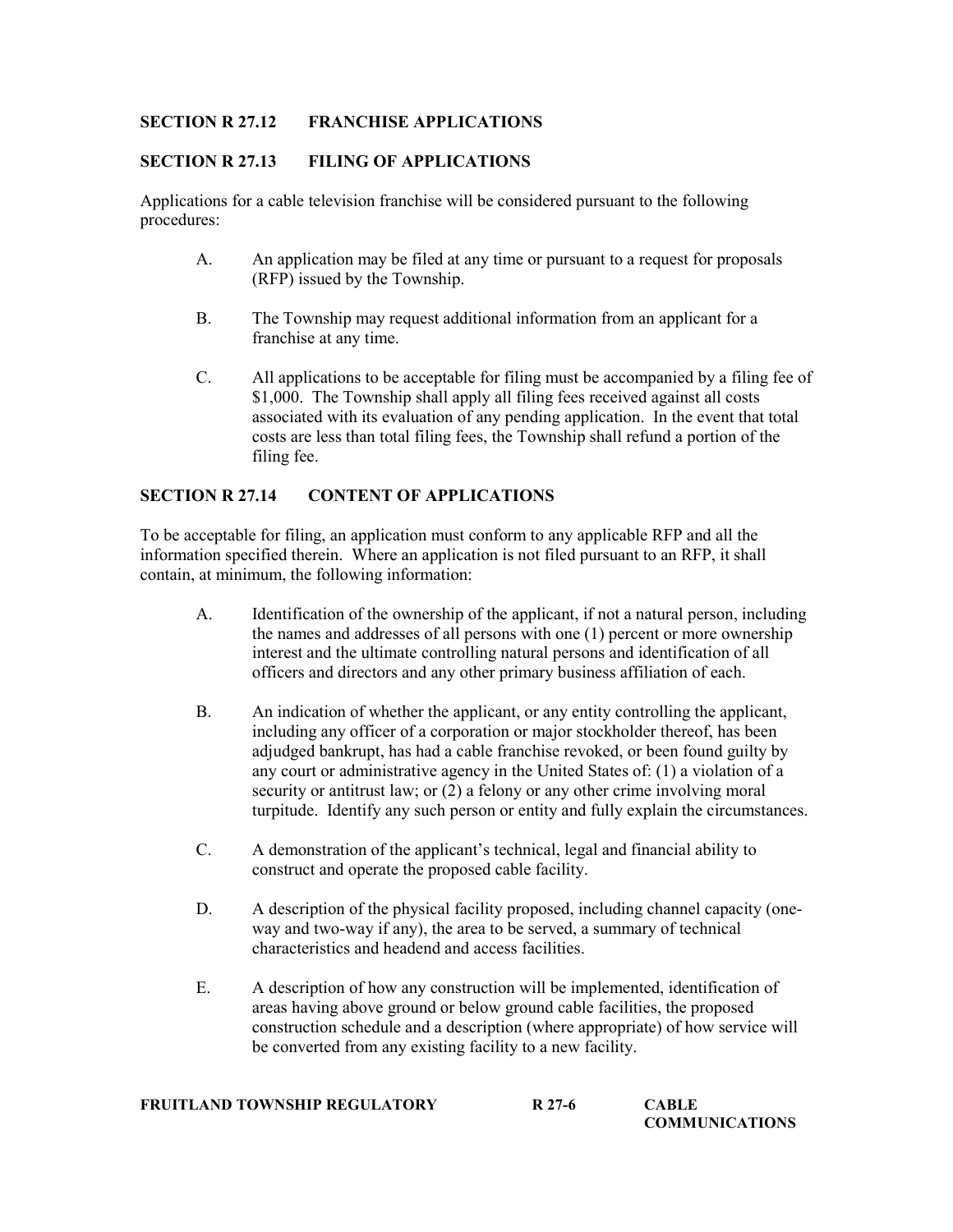## SECTION R 27.12 FRANCHISE APPLICATIONS

## SECTION R 27.13 FILING OF APPLICATIONS

Applications for a cable television franchise will be considered pursuant to the following procedures:

- A. An application may be filed at any time or pursuant to a request for proposals (RFP) issued by the Township.
- B. The Township may request additional information from an applicant for a franchise at any time.
- C. All applications to be acceptable for filing must be accompanied by a filing fee of \$1,000. The Township shall apply all filing fees received against all costs associated with its evaluation of any pending application. In the event that total costs are less than total filing fees, the Township shall refund a portion of the filing fee.

### SECTION R 27.14 CONTENT OF APPLICATIONS

To be acceptable for filing, an application must conform to any applicable RFP and all the information specified therein. Where an application is not filed pursuant to an RFP, it shall contain, at minimum, the following information:

- A. Identification of the ownership of the applicant, if not a natural person, including the names and addresses of all persons with one (1) percent or more ownership interest and the ultimate controlling natural persons and identification of all officers and directors and any other primary business affiliation of each.
- B. An indication of whether the applicant, or any entity controlling the applicant, including any officer of a corporation or major stockholder thereof, has been adjudged bankrupt, has had a cable franchise revoked, or been found guilty by any court or administrative agency in the United States of: (1) a violation of a security or antitrust law; or (2) a felony or any other crime involving moral turpitude. Identify any such person or entity and fully explain the circumstances.
- C. A demonstration of the applicant's technical, legal and financial ability to construct and operate the proposed cable facility.
- D. A description of the physical facility proposed, including channel capacity (oneway and two-way if any), the area to be served, a summary of technical characteristics and headend and access facilities.
- E. A description of how any construction will be implemented, identification of areas having above ground or below ground cable facilities, the proposed construction schedule and a description (where appropriate) of how service will be converted from any existing facility to a new facility.

| FRUITLAND TOWNSHIP REGULATORY | R 27-6 | <b>CABLE</b>          |
|-------------------------------|--------|-----------------------|
|                               |        | <b>COMMUNICATIONS</b> |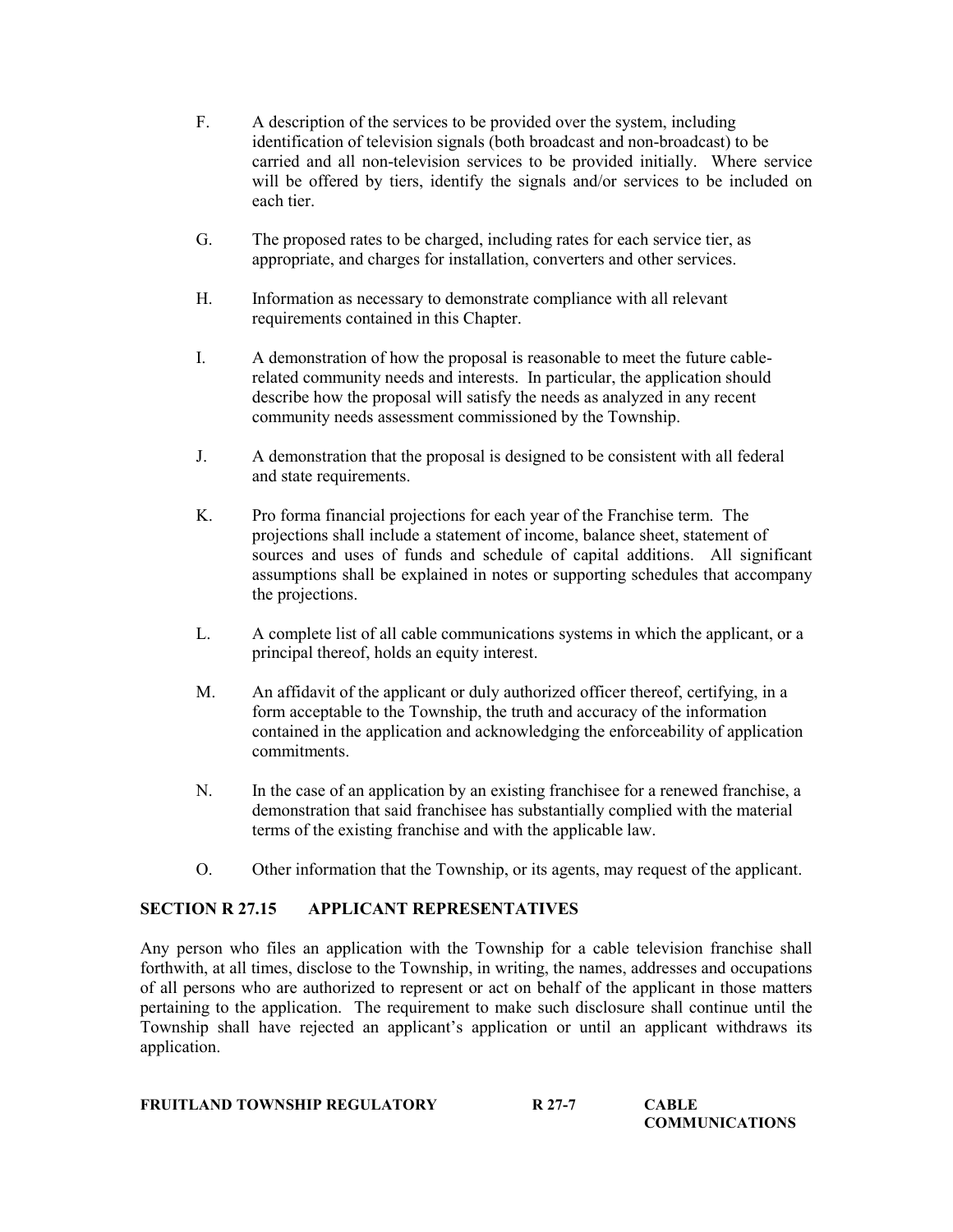- F. A description of the services to be provided over the system, including identification of television signals (both broadcast and non-broadcast) to be carried and all non-television services to be provided initially. Where service will be offered by tiers, identify the signals and/or services to be included on each tier.
- G. The proposed rates to be charged, including rates for each service tier, as appropriate, and charges for installation, converters and other services.
- H. Information as necessary to demonstrate compliance with all relevant requirements contained in this Chapter.
- I. A demonstration of how the proposal is reasonable to meet the future cablerelated community needs and interests. In particular, the application should describe how the proposal will satisfy the needs as analyzed in any recent community needs assessment commissioned by the Township.
- J. A demonstration that the proposal is designed to be consistent with all federal and state requirements.
- K. Pro forma financial projections for each year of the Franchise term. The projections shall include a statement of income, balance sheet, statement of sources and uses of funds and schedule of capital additions. All significant assumptions shall be explained in notes or supporting schedules that accompany the projections.
- L. A complete list of all cable communications systems in which the applicant, or a principal thereof, holds an equity interest.
- M. An affidavit of the applicant or duly authorized officer thereof, certifying, in a form acceptable to the Township, the truth and accuracy of the information contained in the application and acknowledging the enforceability of application commitments.
- N. In the case of an application by an existing franchisee for a renewed franchise, a demonstration that said franchisee has substantially complied with the material terms of the existing franchise and with the applicable law.
- O. Other information that the Township, or its agents, may request of the applicant.

### SECTION R 27.15 APPLICANT REPRESENTATIVES

Any person who files an application with the Township for a cable television franchise shall forthwith, at all times, disclose to the Township, in writing, the names, addresses and occupations of all persons who are authorized to represent or act on behalf of the applicant in those matters pertaining to the application. The requirement to make such disclosure shall continue until the Township shall have rejected an applicant's application or until an applicant withdraws its application.

| <b>FRUITLAND TOWNSHIP REGULATORY</b> | R 27-7 | <b>CABLE</b> |  |
|--------------------------------------|--------|--------------|--|
|--------------------------------------|--------|--------------|--|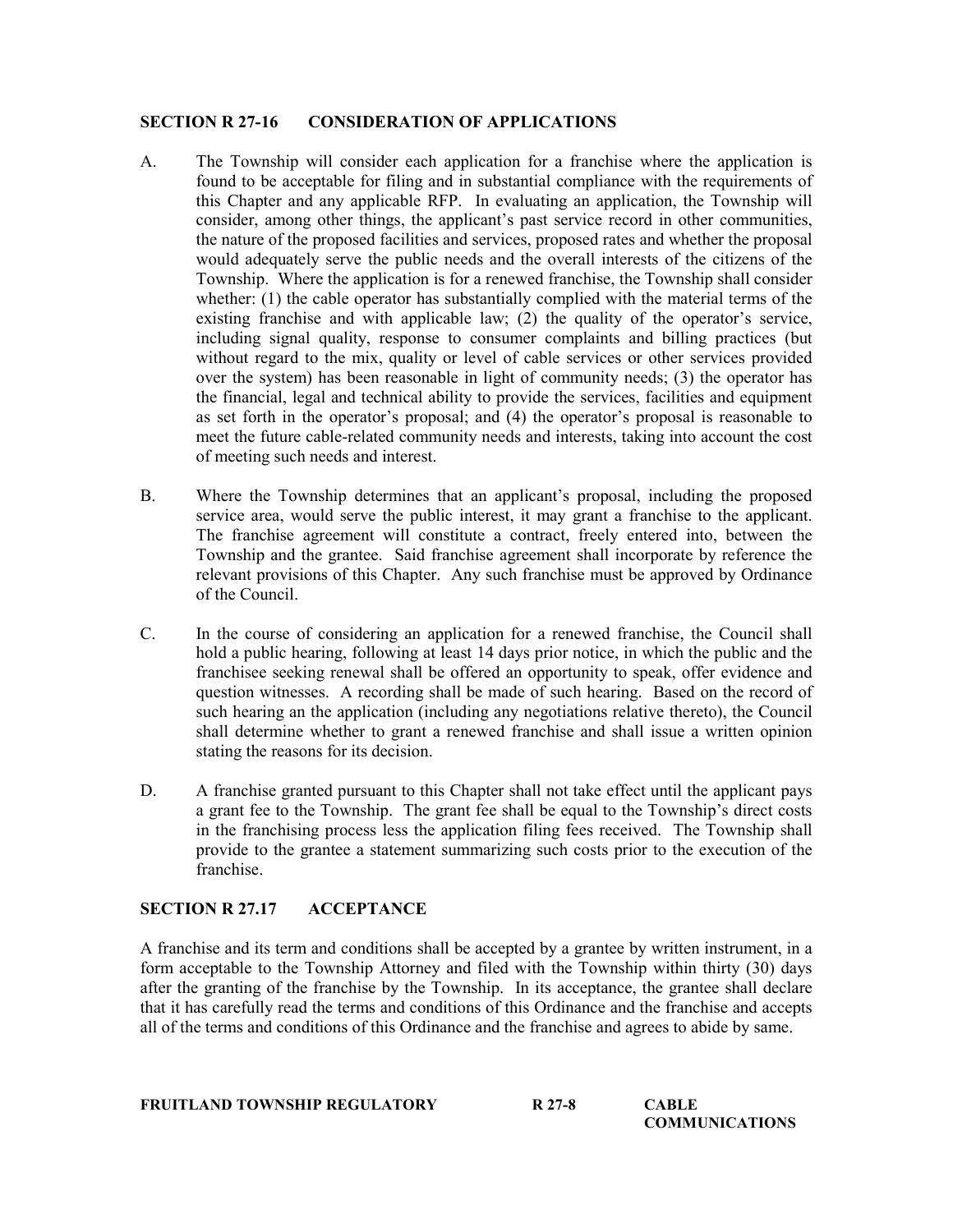### SECTION R 27-16 CONSIDERATION OF APPLICATIONS

- A. The Township will consider each application for a franchise where the application is found to be acceptable for filing and in substantial compliance with the requirements of this Chapter and any applicable RFP. In evaluating an application, the Township will consider, among other things, the applicant's past service record in other communities, the nature of the proposed facilities and services, proposed rates and whether the proposal would adequately serve the public needs and the overall interests of the citizens of the Township. Where the application is for a renewed franchise, the Township shall consider whether: (1) the cable operator has substantially complied with the material terms of the existing franchise and with applicable law; (2) the quality of the operator's service, including signal quality, response to consumer complaints and billing practices (but without regard to the mix, quality or level of cable services or other services provided over the system) has been reasonable in light of community needs; (3) the operator has the financial, legal and technical ability to provide the services, facilities and equipment as set forth in the operator's proposal; and (4) the operator's proposal is reasonable to meet the future cable-related community needs and interests, taking into account the cost of meeting such needs and interest.
- B. Where the Township determines that an applicant's proposal, including the proposed service area, would serve the public interest, it may grant a franchise to the applicant. The franchise agreement will constitute a contract, freely entered into, between the Township and the grantee. Said franchise agreement shall incorporate by reference the relevant provisions of this Chapter. Any such franchise must be approved by Ordinance of the Council.
- C. In the course of considering an application for a renewed franchise, the Council shall hold a public hearing, following at least 14 days prior notice, in which the public and the franchisee seeking renewal shall be offered an opportunity to speak, offer evidence and question witnesses. A recording shall be made of such hearing. Based on the record of such hearing an the application (including any negotiations relative thereto), the Council shall determine whether to grant a renewed franchise and shall issue a written opinion stating the reasons for its decision.
- D. A franchise granted pursuant to this Chapter shall not take effect until the applicant pays a grant fee to the Township. The grant fee shall be equal to the Township's direct costs in the franchising process less the application filing fees received. The Township shall provide to the grantee a statement summarizing such costs prior to the execution of the franchise.

### SECTION R 27.17 ACCEPTANCE

A franchise and its term and conditions shall be accepted by a grantee by written instrument, in a form acceptable to the Township Attorney and filed with the Township within thirty (30) days after the granting of the franchise by the Township. In its acceptance, the grantee shall declare that it has carefully read the terms and conditions of this Ordinance and the franchise and accepts all of the terms and conditions of this Ordinance and the franchise and agrees to abide by same.

| <b>FRUITLAND TOWNSHIP REGULATORY</b> | R 27-8 | <b>CABLE</b>          |
|--------------------------------------|--------|-----------------------|
|                                      |        | <b>COMMUNICATIONS</b> |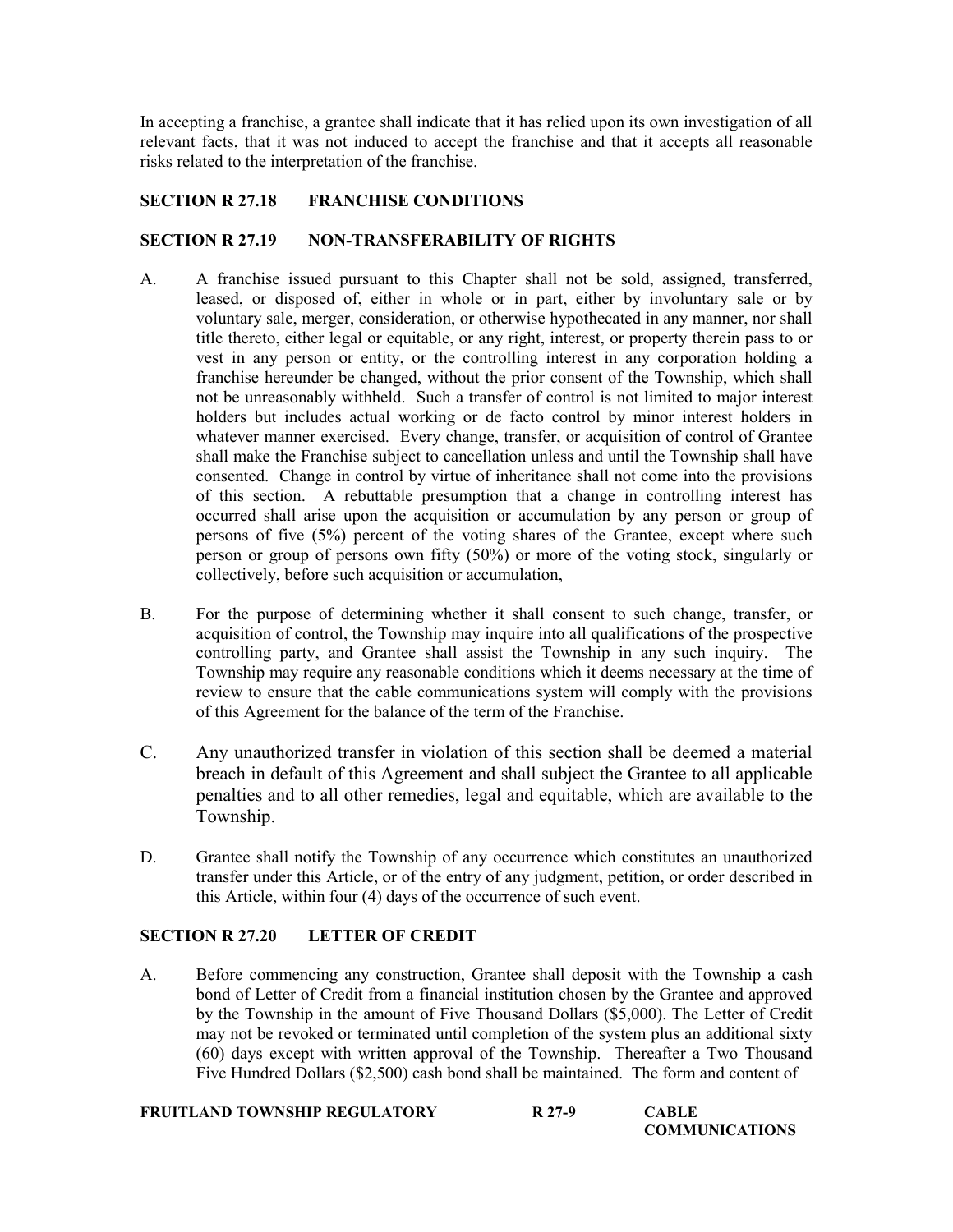In accepting a franchise, a grantee shall indicate that it has relied upon its own investigation of all relevant facts, that it was not induced to accept the franchise and that it accepts all reasonable risks related to the interpretation of the franchise.

## SECTION R 27.18 FRANCHISE CONDITIONS

## SECTION R 27.19 NON-TRANSFERABILITY OF RIGHTS

- A. A franchise issued pursuant to this Chapter shall not be sold, assigned, transferred, leased, or disposed of, either in whole or in part, either by involuntary sale or by voluntary sale, merger, consideration, or otherwise hypothecated in any manner, nor shall title thereto, either legal or equitable, or any right, interest, or property therein pass to or vest in any person or entity, or the controlling interest in any corporation holding a franchise hereunder be changed, without the prior consent of the Township, which shall not be unreasonably withheld. Such a transfer of control is not limited to major interest holders but includes actual working or de facto control by minor interest holders in whatever manner exercised. Every change, transfer, or acquisition of control of Grantee shall make the Franchise subject to cancellation unless and until the Township shall have consented. Change in control by virtue of inheritance shall not come into the provisions of this section. A rebuttable presumption that a change in controlling interest has occurred shall arise upon the acquisition or accumulation by any person or group of persons of five (5%) percent of the voting shares of the Grantee, except where such person or group of persons own fifty (50%) or more of the voting stock, singularly or collectively, before such acquisition or accumulation,
- B. For the purpose of determining whether it shall consent to such change, transfer, or acquisition of control, the Township may inquire into all qualifications of the prospective controlling party, and Grantee shall assist the Township in any such inquiry. The Township may require any reasonable conditions which it deems necessary at the time of review to ensure that the cable communications system will comply with the provisions of this Agreement for the balance of the term of the Franchise.
- C. Any unauthorized transfer in violation of this section shall be deemed a material breach in default of this Agreement and shall subject the Grantee to all applicable penalties and to all other remedies, legal and equitable, which are available to the Township.
- D. Grantee shall notify the Township of any occurrence which constitutes an unauthorized transfer under this Article, or of the entry of any judgment, petition, or order described in this Article, within four (4) days of the occurrence of such event.

# SECTION R 27.20 LETTER OF CREDIT

A. Before commencing any construction, Grantee shall deposit with the Township a cash bond of Letter of Credit from a financial institution chosen by the Grantee and approved by the Township in the amount of Five Thousand Dollars (\$5,000). The Letter of Credit may not be revoked or terminated until completion of the system plus an additional sixty (60) days except with written approval of the Township. Thereafter a Two Thousand Five Hundred Dollars (\$2,500) cash bond shall be maintained. The form and content of

| FRUITLAND TOWNSHIP REGULATORY | R 27-9 | <b>CABLE</b>          |
|-------------------------------|--------|-----------------------|
|                               |        | <b>COMMUNICATIONS</b> |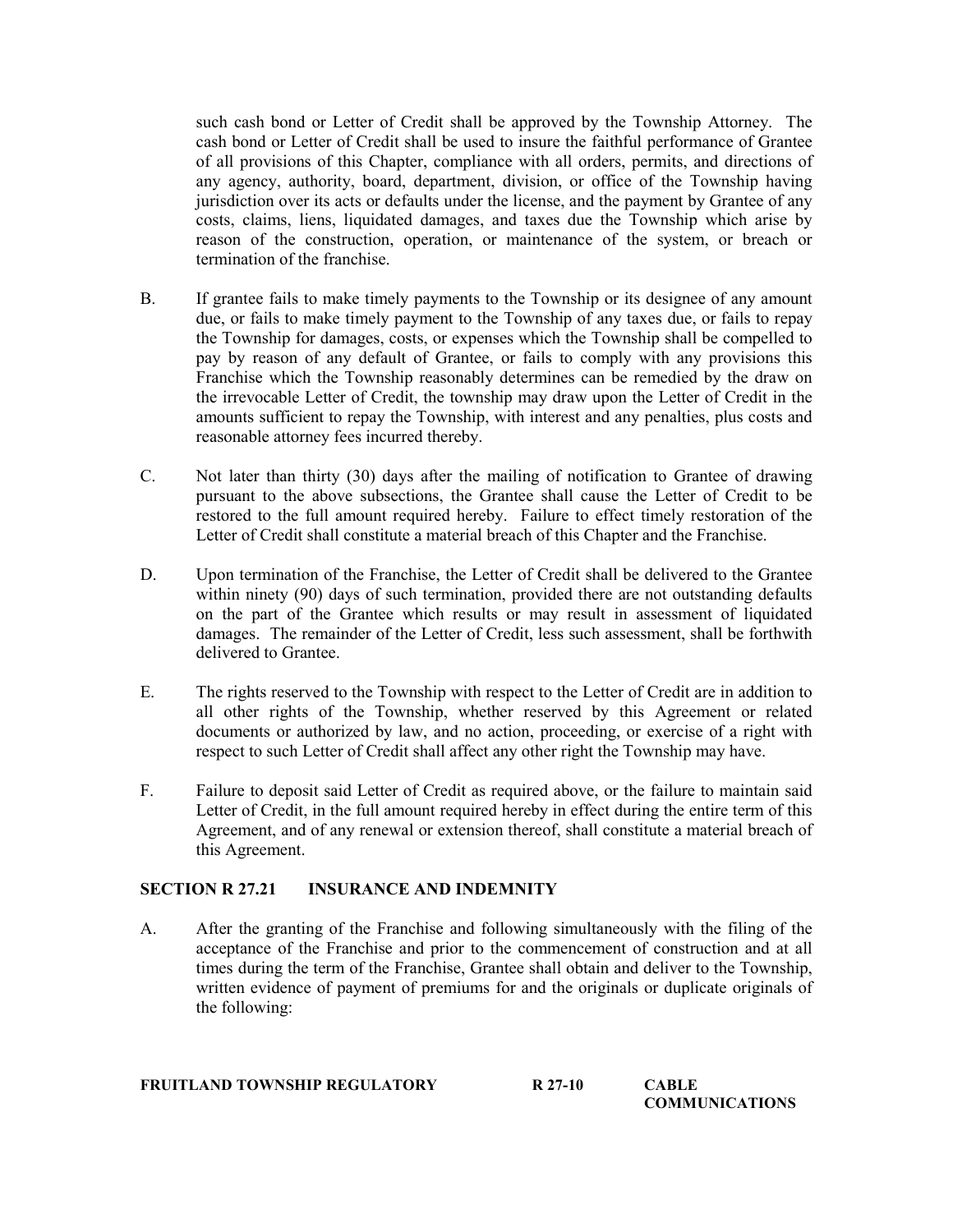such cash bond or Letter of Credit shall be approved by the Township Attorney. The cash bond or Letter of Credit shall be used to insure the faithful performance of Grantee of all provisions of this Chapter, compliance with all orders, permits, and directions of any agency, authority, board, department, division, or office of the Township having jurisdiction over its acts or defaults under the license, and the payment by Grantee of any costs, claims, liens, liquidated damages, and taxes due the Township which arise by reason of the construction, operation, or maintenance of the system, or breach or termination of the franchise.

- B. If grantee fails to make timely payments to the Township or its designee of any amount due, or fails to make timely payment to the Township of any taxes due, or fails to repay the Township for damages, costs, or expenses which the Township shall be compelled to pay by reason of any default of Grantee, or fails to comply with any provisions this Franchise which the Township reasonably determines can be remedied by the draw on the irrevocable Letter of Credit, the township may draw upon the Letter of Credit in the amounts sufficient to repay the Township, with interest and any penalties, plus costs and reasonable attorney fees incurred thereby.
- C. Not later than thirty (30) days after the mailing of notification to Grantee of drawing pursuant to the above subsections, the Grantee shall cause the Letter of Credit to be restored to the full amount required hereby. Failure to effect timely restoration of the Letter of Credit shall constitute a material breach of this Chapter and the Franchise.
- D. Upon termination of the Franchise, the Letter of Credit shall be delivered to the Grantee within ninety (90) days of such termination, provided there are not outstanding defaults on the part of the Grantee which results or may result in assessment of liquidated damages. The remainder of the Letter of Credit, less such assessment, shall be forthwith delivered to Grantee.
- E. The rights reserved to the Township with respect to the Letter of Credit are in addition to all other rights of the Township, whether reserved by this Agreement or related documents or authorized by law, and no action, proceeding, or exercise of a right with respect to such Letter of Credit shall affect any other right the Township may have.
- F. Failure to deposit said Letter of Credit as required above, or the failure to maintain said Letter of Credit, in the full amount required hereby in effect during the entire term of this Agreement, and of any renewal or extension thereof, shall constitute a material breach of this Agreement.

### SECTION R 27.21 INSURANCE AND INDEMNITY

A. After the granting of the Franchise and following simultaneously with the filing of the acceptance of the Franchise and prior to the commencement of construction and at all times during the term of the Franchise, Grantee shall obtain and deliver to the Township, written evidence of payment of premiums for and the originals or duplicate originals of the following:

### FRUITLAND TOWNSHIP REGULATORY R 27-10 CABLE

**COMMUNICATIONS**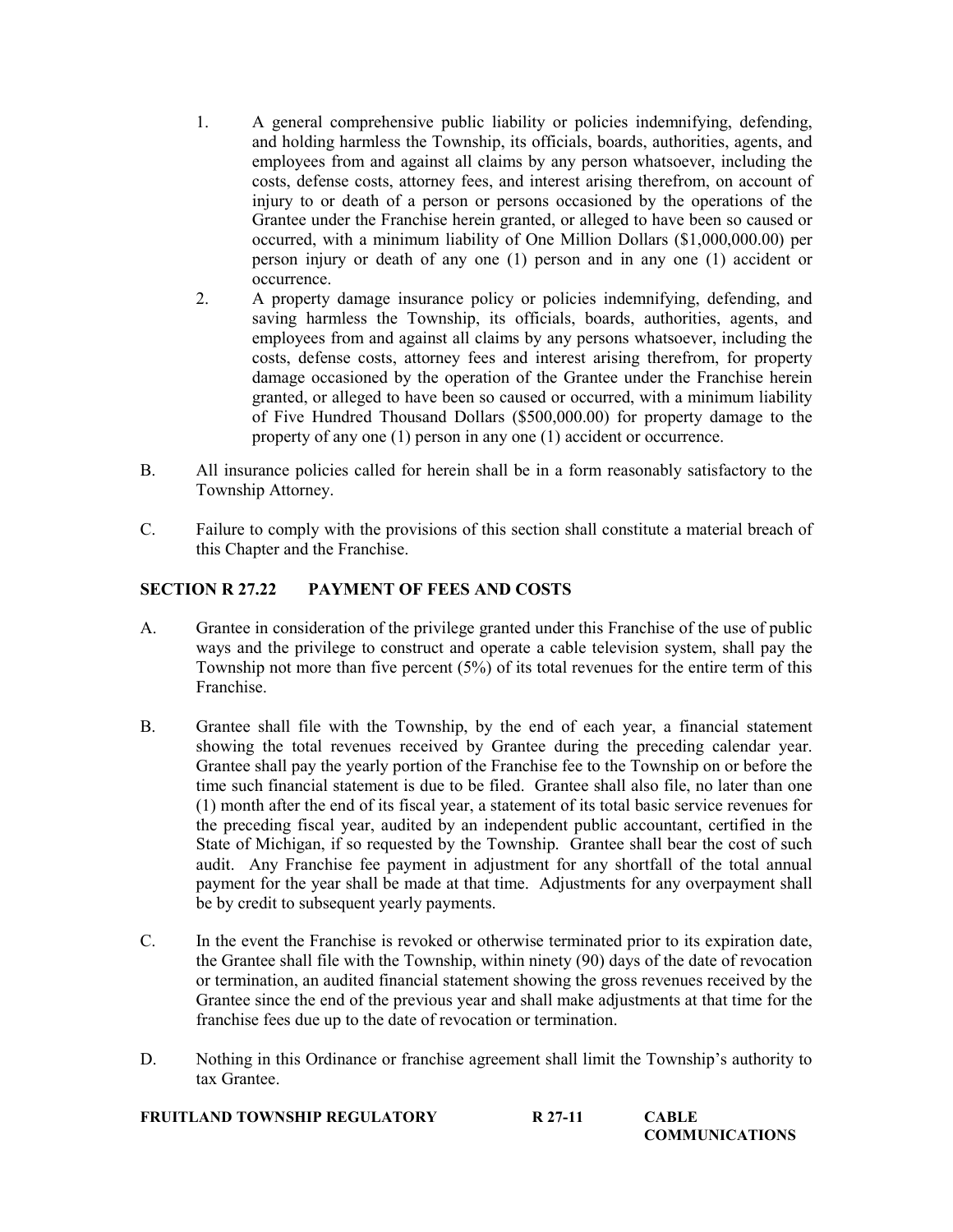- 1. A general comprehensive public liability or policies indemnifying, defending, and holding harmless the Township, its officials, boards, authorities, agents, and employees from and against all claims by any person whatsoever, including the costs, defense costs, attorney fees, and interest arising therefrom, on account of injury to or death of a person or persons occasioned by the operations of the Grantee under the Franchise herein granted, or alleged to have been so caused or occurred, with a minimum liability of One Million Dollars (\$1,000,000.00) per person injury or death of any one (1) person and in any one (1) accident or occurrence.
- 2. A property damage insurance policy or policies indemnifying, defending, and saving harmless the Township, its officials, boards, authorities, agents, and employees from and against all claims by any persons whatsoever, including the costs, defense costs, attorney fees and interest arising therefrom, for property damage occasioned by the operation of the Grantee under the Franchise herein granted, or alleged to have been so caused or occurred, with a minimum liability of Five Hundred Thousand Dollars (\$500,000.00) for property damage to the property of any one (1) person in any one (1) accident or occurrence.
- B. All insurance policies called for herein shall be in a form reasonably satisfactory to the Township Attorney.
- C. Failure to comply with the provisions of this section shall constitute a material breach of this Chapter and the Franchise.

## SECTION R 27.22 PAYMENT OF FEES AND COSTS

- A. Grantee in consideration of the privilege granted under this Franchise of the use of public ways and the privilege to construct and operate a cable television system, shall pay the Township not more than five percent  $(5\%)$  of its total revenues for the entire term of this Franchise.
- B. Grantee shall file with the Township, by the end of each year, a financial statement showing the total revenues received by Grantee during the preceding calendar year. Grantee shall pay the yearly portion of the Franchise fee to the Township on or before the time such financial statement is due to be filed. Grantee shall also file, no later than one (1) month after the end of its fiscal year, a statement of its total basic service revenues for the preceding fiscal year, audited by an independent public accountant, certified in the State of Michigan, if so requested by the Township. Grantee shall bear the cost of such audit. Any Franchise fee payment in adjustment for any shortfall of the total annual payment for the year shall be made at that time. Adjustments for any overpayment shall be by credit to subsequent yearly payments.
- C. In the event the Franchise is revoked or otherwise terminated prior to its expiration date, the Grantee shall file with the Township, within ninety (90) days of the date of revocation or termination, an audited financial statement showing the gross revenues received by the Grantee since the end of the previous year and shall make adjustments at that time for the franchise fees due up to the date of revocation or termination.
- D. Nothing in this Ordinance or franchise agreement shall limit the Township's authority to tax Grantee.

| FRUITLAND TOWNSHIP REGULATORY | R 27-11 | <b>CABLE</b>          |
|-------------------------------|---------|-----------------------|
|                               |         | <b>COMMUNICATIONS</b> |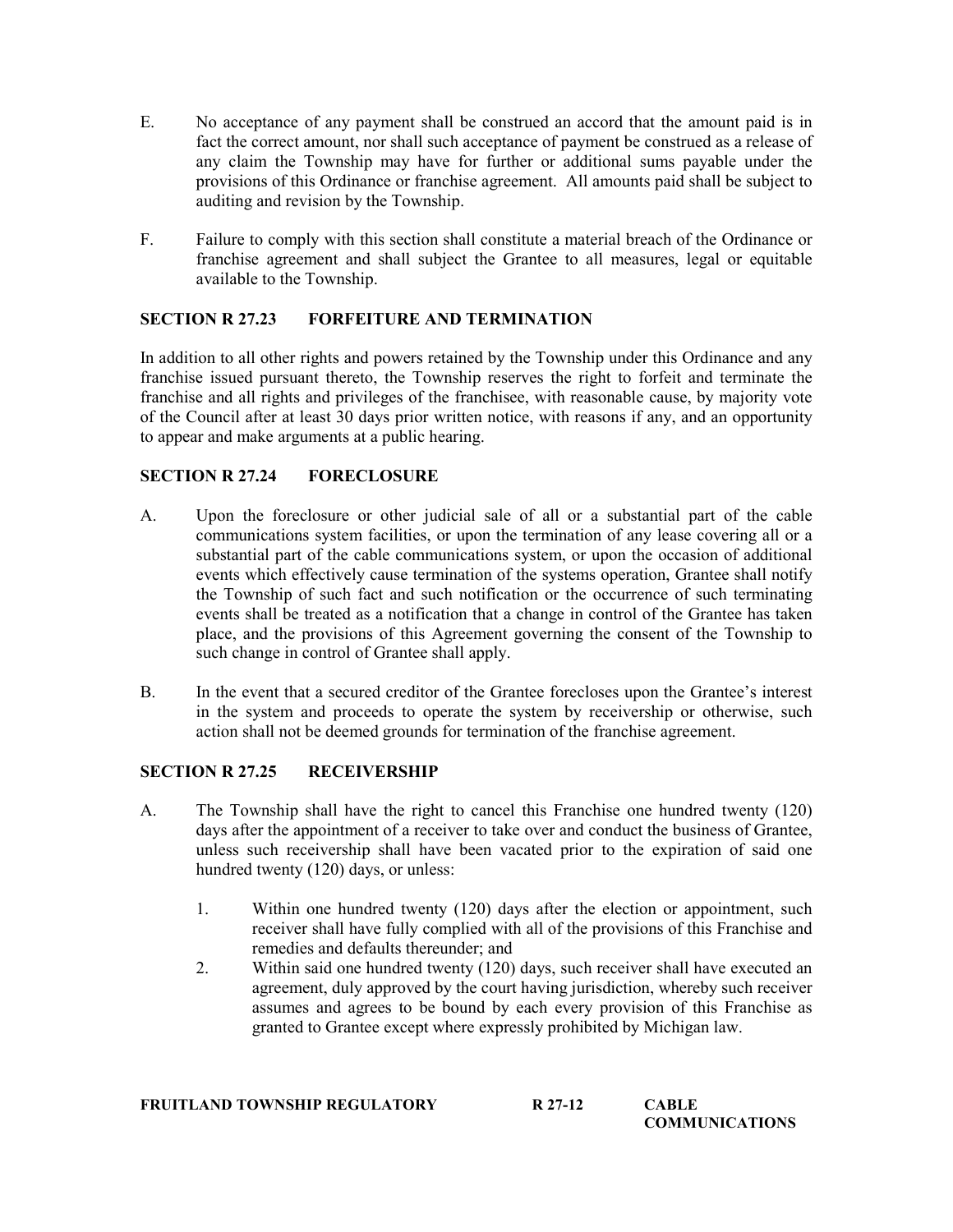- E. No acceptance of any payment shall be construed an accord that the amount paid is in fact the correct amount, nor shall such acceptance of payment be construed as a release of any claim the Township may have for further or additional sums payable under the provisions of this Ordinance or franchise agreement. All amounts paid shall be subject to auditing and revision by the Township.
- F. Failure to comply with this section shall constitute a material breach of the Ordinance or franchise agreement and shall subject the Grantee to all measures, legal or equitable available to the Township.

# SECTION R 27.23 FORFEITURE AND TERMINATION

In addition to all other rights and powers retained by the Township under this Ordinance and any franchise issued pursuant thereto, the Township reserves the right to forfeit and terminate the franchise and all rights and privileges of the franchisee, with reasonable cause, by majority vote of the Council after at least 30 days prior written notice, with reasons if any, and an opportunity to appear and make arguments at a public hearing.

# SECTION R 27.24 FORECLOSURE

- A. Upon the foreclosure or other judicial sale of all or a substantial part of the cable communications system facilities, or upon the termination of any lease covering all or a substantial part of the cable communications system, or upon the occasion of additional events which effectively cause termination of the systems operation, Grantee shall notify the Township of such fact and such notification or the occurrence of such terminating events shall be treated as a notification that a change in control of the Grantee has taken place, and the provisions of this Agreement governing the consent of the Township to such change in control of Grantee shall apply.
- B. In the event that a secured creditor of the Grantee forecloses upon the Grantee's interest in the system and proceeds to operate the system by receivership or otherwise, such action shall not be deemed grounds for termination of the franchise agreement.

### SECTION R 27.25 RECEIVERSHIP

- A. The Township shall have the right to cancel this Franchise one hundred twenty (120) days after the appointment of a receiver to take over and conduct the business of Grantee, unless such receivership shall have been vacated prior to the expiration of said one hundred twenty (120) days, or unless:
	- 1. Within one hundred twenty (120) days after the election or appointment, such receiver shall have fully complied with all of the provisions of this Franchise and remedies and defaults thereunder; and
	- 2. Within said one hundred twenty (120) days, such receiver shall have executed an agreement, duly approved by the court having jurisdiction, whereby such receiver assumes and agrees to be bound by each every provision of this Franchise as granted to Grantee except where expressly prohibited by Michigan law.

| <b>FRUITLAND TOWNSHIP REGULATORY</b> | R 27-12 | <b>CABLE</b>          |
|--------------------------------------|---------|-----------------------|
|                                      |         | <b>COMMUNICATIONS</b> |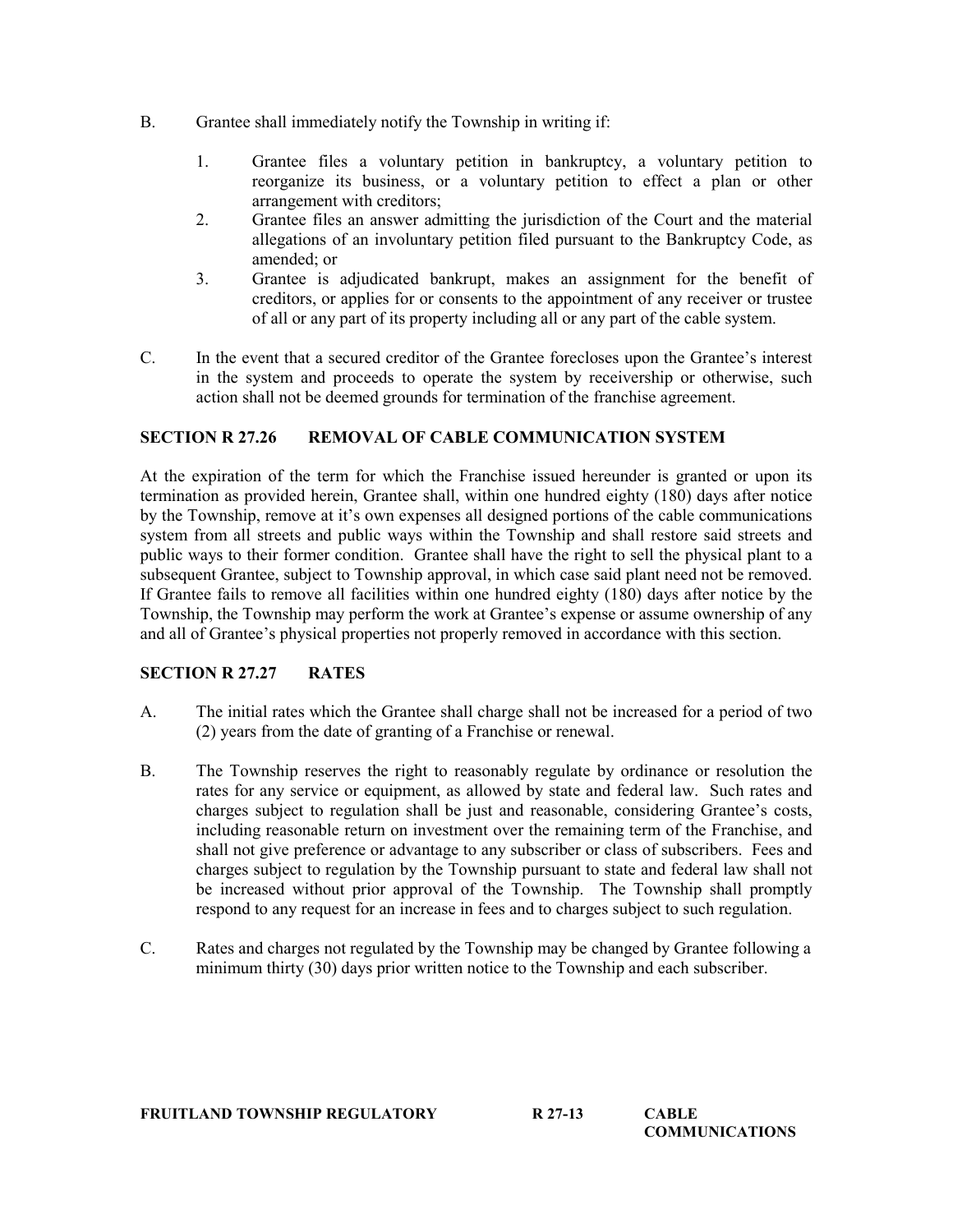- B. Grantee shall immediately notify the Township in writing if:
	- 1. Grantee files a voluntary petition in bankruptcy, a voluntary petition to reorganize its business, or a voluntary petition to effect a plan or other arrangement with creditors;
	- 2. Grantee files an answer admitting the jurisdiction of the Court and the material allegations of an involuntary petition filed pursuant to the Bankruptcy Code, as amended; or
	- 3. Grantee is adjudicated bankrupt, makes an assignment for the benefit of creditors, or applies for or consents to the appointment of any receiver or trustee of all or any part of its property including all or any part of the cable system.
- C. In the event that a secured creditor of the Grantee forecloses upon the Grantee's interest in the system and proceeds to operate the system by receivership or otherwise, such action shall not be deemed grounds for termination of the franchise agreement.

# SECTION R 27.26 REMOVAL OF CABLE COMMUNICATION SYSTEM

At the expiration of the term for which the Franchise issued hereunder is granted or upon its termination as provided herein, Grantee shall, within one hundred eighty (180) days after notice by the Township, remove at it's own expenses all designed portions of the cable communications system from all streets and public ways within the Township and shall restore said streets and public ways to their former condition. Grantee shall have the right to sell the physical plant to a subsequent Grantee, subject to Township approval, in which case said plant need not be removed. If Grantee fails to remove all facilities within one hundred eighty (180) days after notice by the Township, the Township may perform the work at Grantee's expense or assume ownership of any and all of Grantee's physical properties not properly removed in accordance with this section.

### SECTION R 27.27 RATES

- A. The initial rates which the Grantee shall charge shall not be increased for a period of two (2) years from the date of granting of a Franchise or renewal.
- B. The Township reserves the right to reasonably regulate by ordinance or resolution the rates for any service or equipment, as allowed by state and federal law. Such rates and charges subject to regulation shall be just and reasonable, considering Grantee's costs, including reasonable return on investment over the remaining term of the Franchise, and shall not give preference or advantage to any subscriber or class of subscribers. Fees and charges subject to regulation by the Township pursuant to state and federal law shall not be increased without prior approval of the Township. The Township shall promptly respond to any request for an increase in fees and to charges subject to such regulation.
- C. Rates and charges not regulated by the Township may be changed by Grantee following a minimum thirty (30) days prior written notice to the Township and each subscriber.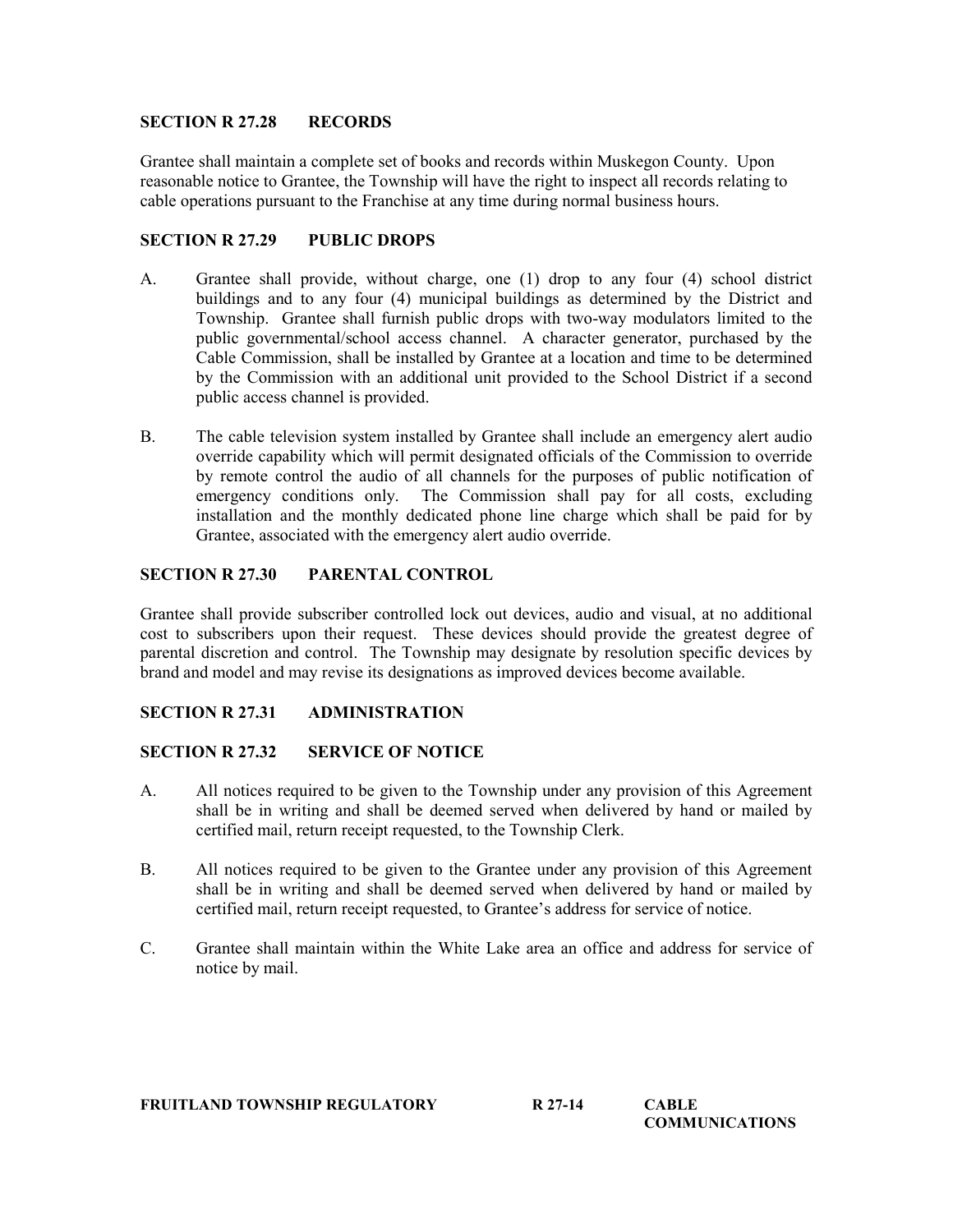### SECTION R 27.28 RECORDS

Grantee shall maintain a complete set of books and records within Muskegon County. Upon reasonable notice to Grantee, the Township will have the right to inspect all records relating to cable operations pursuant to the Franchise at any time during normal business hours.

### SECTION R 27.29 PUBLIC DROPS

- A. Grantee shall provide, without charge, one (1) drop to any four (4) school district buildings and to any four (4) municipal buildings as determined by the District and Township. Grantee shall furnish public drops with two-way modulators limited to the public governmental/school access channel. A character generator, purchased by the Cable Commission, shall be installed by Grantee at a location and time to be determined by the Commission with an additional unit provided to the School District if a second public access channel is provided.
- B. The cable television system installed by Grantee shall include an emergency alert audio override capability which will permit designated officials of the Commission to override by remote control the audio of all channels for the purposes of public notification of emergency conditions only. The Commission shall pay for all costs, excluding installation and the monthly dedicated phone line charge which shall be paid for by Grantee, associated with the emergency alert audio override.

### SECTION R 27.30 PARENTAL CONTROL

Grantee shall provide subscriber controlled lock out devices, audio and visual, at no additional cost to subscribers upon their request. These devices should provide the greatest degree of parental discretion and control. The Township may designate by resolution specific devices by brand and model and may revise its designations as improved devices become available.

## SECTION R 27.31 ADMINISTRATION

### SECTION R 27.32 SERVICE OF NOTICE

- A. All notices required to be given to the Township under any provision of this Agreement shall be in writing and shall be deemed served when delivered by hand or mailed by certified mail, return receipt requested, to the Township Clerk.
- B. All notices required to be given to the Grantee under any provision of this Agreement shall be in writing and shall be deemed served when delivered by hand or mailed by certified mail, return receipt requested, to Grantee's address for service of notice.
- C. Grantee shall maintain within the White Lake area an office and address for service of notice by mail.

| <b>FRUITLAND TOWNSHIP REGULATORY</b><br>R 27-14<br>CABLE |  | <b>COMMUNICATIONS</b> |
|----------------------------------------------------------|--|-----------------------|
|                                                          |  |                       |